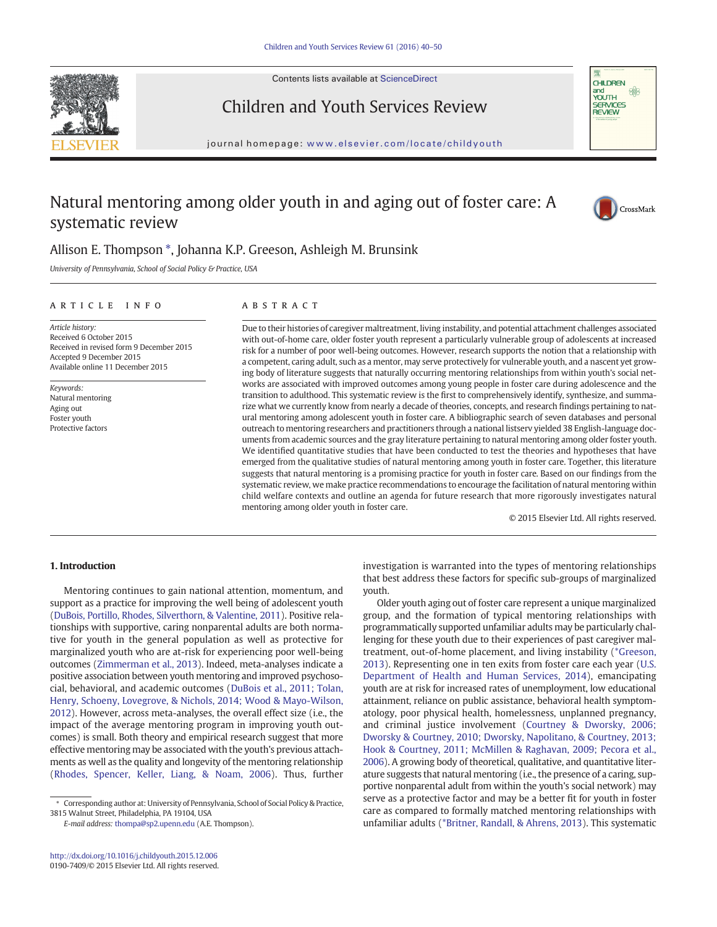

Contents lists available at ScienceDirect

# Children and Youth Services Review



journal homepage: www.elsevier.com/locate/childyouth

# Natural mentoring among older youth in and aging out of foster care: A systematic review



## Allison E. Thompson \*, Johanna K.P. Greeson, Ashleigh M. Brunsink

University of Pennsylvania, School of Social Policy & Practice, USA

#### article info abstract

Article history: Received 6 October 2015 Received in revised form 9 December 2015 Accepted 9 December 2015 Available online 11 December 2015

Keywords: Natural mentoring Aging out Foster youth Protective factors

with out-of-home care, older foster youth represent a particularly vulnerable group of adolescents at increased risk for a number of poor well-being outcomes. However, research supports the notion that a relationship with a competent, caring adult, such as a mentor, may serve protectively for vulnerable youth, and a nascent yet growing body of literature suggests that naturally occurring mentoring relationships from within youth's social networks are associated with improved outcomes among young people in foster care during adolescence and the transition to adulthood. This systematic review is the first to comprehensively identify, synthesize, and summarize what we currently know from nearly a decade of theories, concepts, and research findings pertaining to natural mentoring among adolescent youth in foster care. A bibliographic search of seven databases and personal outreach to mentoring researchers and practitioners through a national listserv yielded 38 English-language documents from academic sources and the gray literature pertaining to natural mentoring among older foster youth. We identified quantitative studies that have been conducted to test the theories and hypotheses that have emerged from the qualitative studies of natural mentoring among youth in foster care. Together, this literature suggests that natural mentoring is a promising practice for youth in foster care. Based on our findings from the systematic review, we make practice recommendations to encourage the facilitation of natural mentoring within child welfare contexts and outline an agenda for future research that more rigorously investigates natural mentoring among older youth in foster care.

Due to their histories of caregiver maltreatment, living instability, and potential attachment challenges associated

© 2015 Elsevier Ltd. All rights reserved.

#### 1. Introduction

Mentoring continues to gain national attention, momentum, and support as a practice for improving the well being of adolescent youth (DuBois, Portillo, Rhodes, Silverthorn, & Valentine, 2011). Positive relationships with supportive, caring nonparental adults are both normative for youth in the general population as well as protective for marginalized youth who are at-risk for experiencing poor well-being outcomes (Zimmerman et al., 2013). Indeed, meta-analyses indicate a positive association between youth mentoring and improved psychosocial, behavioral, and academic outcomes (DuBois et al., 2011; Tolan, Henry, Schoeny, Lovegrove, & Nichols, 2014; Wood & Mayo-Wilson, 2012). However, across meta-analyses, the overall effect size (i.e., the impact of the average mentoring program in improving youth outcomes) is small. Both theory and empirical research suggest that more effective mentoring may be associated with the youth's previous attachments as well as the quality and longevity of the mentoring relationship (Rhodes, Spencer, Keller, Liang, & Noam, 2006). Thus, further

E-mail address: thompa@sp2.upenn.edu (A.E. Thompson).

investigation is warranted into the types of mentoring relationships that best address these factors for specific sub-groups of marginalized youth.

Older youth aging out of foster care represent a unique marginalized group, and the formation of typical mentoring relationships with programmatically supported unfamiliar adults may be particularly challenging for these youth due to their experiences of past caregiver maltreatment, out-of-home placement, and living instability (\*Greeson, 2013). Representing one in ten exits from foster care each year (U.S. Department of Health and Human Services, 2014), emancipating youth are at risk for increased rates of unemployment, low educational attainment, reliance on public assistance, behavioral health symptomatology, poor physical health, homelessness, unplanned pregnancy, and criminal justice involvement (Courtney & Dworsky, 2006; Dworsky & Courtney, 2010; Dworsky, Napolitano, & Courtney, 2013; Hook & Courtney, 2011; McMillen & Raghavan, 2009; Pecora et al., 2006). A growing body of theoretical, qualitative, and quantitative literature suggests that natural mentoring (i.e., the presence of a caring, supportive nonparental adult from within the youth's social network) may serve as a protective factor and may be a better fit for youth in foster care as compared to formally matched mentoring relationships with unfamiliar adults (\*Britner, Randall, & Ahrens, 2013). This systematic

<sup>⁎</sup> Corresponding author at: University of Pennsylvania, School of Social Policy & Practice, 3815 Walnut Street, Philadelphia, PA 19104, USA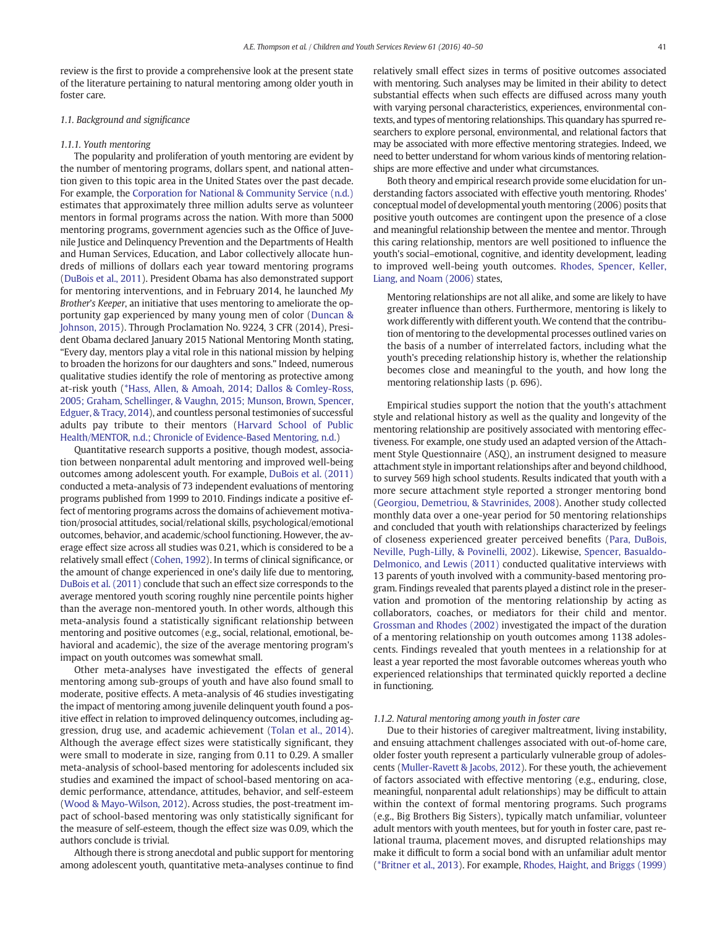review is the first to provide a comprehensive look at the present state of the literature pertaining to natural mentoring among older youth in foster care.

#### 1.1. Background and significance

#### 1.1.1. Youth mentoring

The popularity and proliferation of youth mentoring are evident by the number of mentoring programs, dollars spent, and national attention given to this topic area in the United States over the past decade. For example, the Corporation for National & Community Service (n.d.) estimates that approximately three million adults serve as volunteer mentors in formal programs across the nation. With more than 5000 mentoring programs, government agencies such as the Office of Juvenile Justice and Delinquency Prevention and the Departments of Health and Human Services, Education, and Labor collectively allocate hundreds of millions of dollars each year toward mentoring programs (DuBois et al., 2011). President Obama has also demonstrated support for mentoring interventions, and in February 2014, he launched My Brother's Keeper, an initiative that uses mentoring to ameliorate the opportunity gap experienced by many young men of color (Duncan & Johnson, 2015). Through Proclamation No. 9224, 3 CFR (2014), President Obama declared January 2015 National Mentoring Month stating, "Every day, mentors play a vital role in this national mission by helping to broaden the horizons for our daughters and sons." Indeed, numerous qualitative studies identify the role of mentoring as protective among at-risk youth (\*Hass, Allen, & Amoah, 2014; Dallos & Comley-Ross, 2005; Graham, Schellinger, & Vaughn, 2015; Munson, Brown, Spencer, Edguer, & Tracy, 2014), and countless personal testimonies of successful adults pay tribute to their mentors (Harvard School of Public Health/MENTOR, n.d.; Chronicle of Evidence-Based Mentoring, n.d.)

Quantitative research supports a positive, though modest, association between nonparental adult mentoring and improved well-being outcomes among adolescent youth. For example, DuBois et al. (2011) conducted a meta-analysis of 73 independent evaluations of mentoring programs published from 1999 to 2010. Findings indicate a positive effect of mentoring programs across the domains of achievement motivation/prosocial attitudes, social/relational skills, psychological/emotional outcomes, behavior, and academic/school functioning. However, the average effect size across all studies was 0.21, which is considered to be a relatively small effect (Cohen, 1992). In terms of clinical significance, or the amount of change experienced in one's daily life due to mentoring, DuBois et al. (2011) conclude that such an effect size corresponds to the average mentored youth scoring roughly nine percentile points higher than the average non-mentored youth. In other words, although this meta-analysis found a statistically significant relationship between mentoring and positive outcomes (e.g., social, relational, emotional, behavioral and academic), the size of the average mentoring program's impact on youth outcomes was somewhat small.

Other meta-analyses have investigated the effects of general mentoring among sub-groups of youth and have also found small to moderate, positive effects. A meta-analysis of 46 studies investigating the impact of mentoring among juvenile delinquent youth found a positive effect in relation to improved delinquency outcomes, including aggression, drug use, and academic achievement (Tolan et al., 2014). Although the average effect sizes were statistically significant, they were small to moderate in size, ranging from 0.11 to 0.29. A smaller meta-analysis of school-based mentoring for adolescents included six studies and examined the impact of school-based mentoring on academic performance, attendance, attitudes, behavior, and self-esteem (Wood & Mayo-Wilson, 2012). Across studies, the post-treatment impact of school-based mentoring was only statistically significant for the measure of self-esteem, though the effect size was 0.09, which the authors conclude is trivial.

Although there is strong anecdotal and public support for mentoring among adolescent youth, quantitative meta-analyses continue to find relatively small effect sizes in terms of positive outcomes associated with mentoring. Such analyses may be limited in their ability to detect substantial effects when such effects are diffused across many youth with varying personal characteristics, experiences, environmental contexts, and types of mentoring relationships. This quandary has spurred researchers to explore personal, environmental, and relational factors that may be associated with more effective mentoring strategies. Indeed, we need to better understand for whom various kinds of mentoring relationships are more effective and under what circumstances.

Both theory and empirical research provide some elucidation for understanding factors associated with effective youth mentoring. Rhodes' conceptual model of developmental youth mentoring (2006) posits that positive youth outcomes are contingent upon the presence of a close and meaningful relationship between the mentee and mentor. Through this caring relationship, mentors are well positioned to influence the youth's social–emotional, cognitive, and identity development, leading to improved well-being youth outcomes. Rhodes, Spencer, Keller, Liang, and Noam (2006) states,

Mentoring relationships are not all alike, and some are likely to have greater influence than others. Furthermore, mentoring is likely to work differently with different youth. We contend that the contribution of mentoring to the developmental processes outlined varies on the basis of a number of interrelated factors, including what the youth's preceding relationship history is, whether the relationship becomes close and meaningful to the youth, and how long the mentoring relationship lasts (p. 696).

Empirical studies support the notion that the youth's attachment style and relational history as well as the quality and longevity of the mentoring relationship are positively associated with mentoring effectiveness. For example, one study used an adapted version of the Attachment Style Questionnaire (ASQ), an instrument designed to measure attachment style in important relationships after and beyond childhood, to survey 569 high school students. Results indicated that youth with a more secure attachment style reported a stronger mentoring bond (Georgiou, Demetriou, & Stavrinides, 2008). Another study collected monthly data over a one-year period for 50 mentoring relationships and concluded that youth with relationships characterized by feelings of closeness experienced greater perceived benefits (Para, DuBois, Neville, Pugh-Lilly, & Povinelli, 2002). Likewise, Spencer, Basualdo-Delmonico, and Lewis (2011) conducted qualitative interviews with 13 parents of youth involved with a community-based mentoring program. Findings revealed that parents played a distinct role in the preservation and promotion of the mentoring relationship by acting as collaborators, coaches, or mediators for their child and mentor. Grossman and Rhodes (2002) investigated the impact of the duration of a mentoring relationship on youth outcomes among 1138 adolescents. Findings revealed that youth mentees in a relationship for at least a year reported the most favorable outcomes whereas youth who experienced relationships that terminated quickly reported a decline in functioning.

#### 1.1.2. Natural mentoring among youth in foster care

Due to their histories of caregiver maltreatment, living instability, and ensuing attachment challenges associated with out-of-home care, older foster youth represent a particularly vulnerable group of adolescents (Muller-Ravett & Jacobs, 2012). For these youth, the achievement of factors associated with effective mentoring (e.g., enduring, close, meaningful, nonparental adult relationships) may be difficult to attain within the context of formal mentoring programs. Such programs (e.g., Big Brothers Big Sisters), typically match unfamiliar, volunteer adult mentors with youth mentees, but for youth in foster care, past relational trauma, placement moves, and disrupted relationships may make it difficult to form a social bond with an unfamiliar adult mentor (\*Britner et al., 2013). For example, Rhodes, Haight, and Briggs (1999)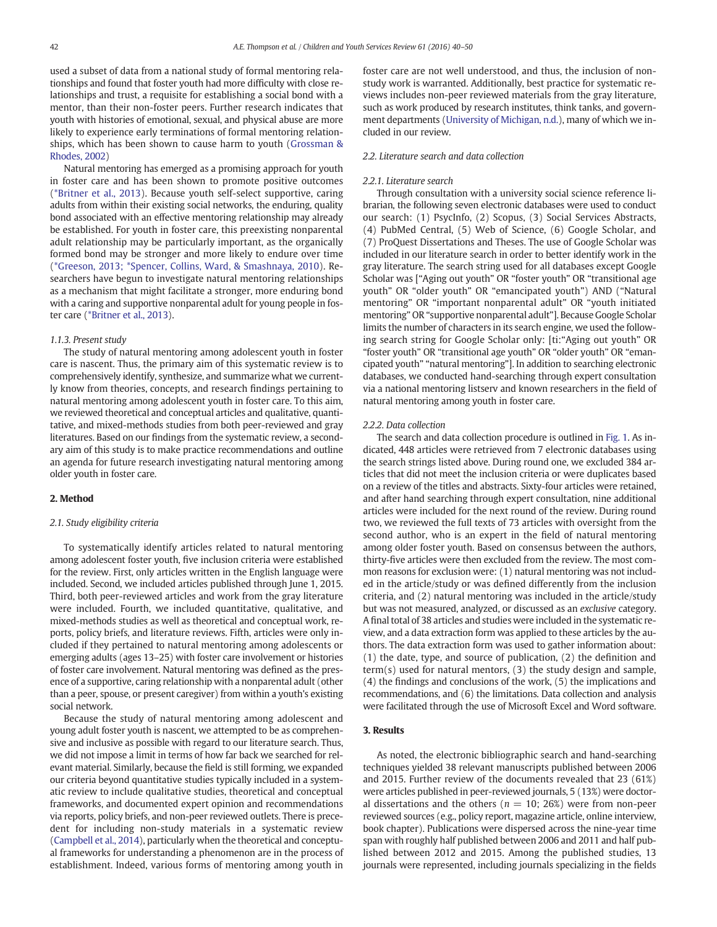used a subset of data from a national study of formal mentoring relationships and found that foster youth had more difficulty with close relationships and trust, a requisite for establishing a social bond with a mentor, than their non-foster peers. Further research indicates that youth with histories of emotional, sexual, and physical abuse are more likely to experience early terminations of formal mentoring relationships, which has been shown to cause harm to youth (Grossman & Rhodes, 2002)

Natural mentoring has emerged as a promising approach for youth in foster care and has been shown to promote positive outcomes (\*Britner et al., 2013). Because youth self-select supportive, caring adults from within their existing social networks, the enduring, quality bond associated with an effective mentoring relationship may already be established. For youth in foster care, this preexisting nonparental adult relationship may be particularly important, as the organically formed bond may be stronger and more likely to endure over time (\*Greeson, 2013; \*Spencer, Collins, Ward, & Smashnaya, 2010). Researchers have begun to investigate natural mentoring relationships as a mechanism that might facilitate a stronger, more enduring bond with a caring and supportive nonparental adult for young people in foster care (\*Britner et al., 2013).

#### 1.1.3. Present study

The study of natural mentoring among adolescent youth in foster care is nascent. Thus, the primary aim of this systematic review is to comprehensively identify, synthesize, and summarize what we currently know from theories, concepts, and research findings pertaining to natural mentoring among adolescent youth in foster care. To this aim, we reviewed theoretical and conceptual articles and qualitative, quantitative, and mixed-methods studies from both peer-reviewed and gray literatures. Based on our findings from the systematic review, a secondary aim of this study is to make practice recommendations and outline an agenda for future research investigating natural mentoring among older youth in foster care.

#### 2. Method

#### 2.1. Study eligibility criteria

To systematically identify articles related to natural mentoring among adolescent foster youth, five inclusion criteria were established for the review. First, only articles written in the English language were included. Second, we included articles published through June 1, 2015. Third, both peer-reviewed articles and work from the gray literature were included. Fourth, we included quantitative, qualitative, and mixed-methods studies as well as theoretical and conceptual work, reports, policy briefs, and literature reviews. Fifth, articles were only included if they pertained to natural mentoring among adolescents or emerging adults (ages 13–25) with foster care involvement or histories of foster care involvement. Natural mentoring was defined as the presence of a supportive, caring relationship with a nonparental adult (other than a peer, spouse, or present caregiver) from within a youth's existing social network.

Because the study of natural mentoring among adolescent and young adult foster youth is nascent, we attempted to be as comprehensive and inclusive as possible with regard to our literature search. Thus, we did not impose a limit in terms of how far back we searched for relevant material. Similarly, because the field is still forming, we expanded our criteria beyond quantitative studies typically included in a systematic review to include qualitative studies, theoretical and conceptual frameworks, and documented expert opinion and recommendations via reports, policy briefs, and non-peer reviewed outlets. There is precedent for including non-study materials in a systematic review (Campbell et al., 2014), particularly when the theoretical and conceptual frameworks for understanding a phenomenon are in the process of establishment. Indeed, various forms of mentoring among youth in foster care are not well understood, and thus, the inclusion of nonstudy work is warranted. Additionally, best practice for systematic reviews includes non-peer reviewed materials from the gray literature, such as work produced by research institutes, think tanks, and government departments (University of Michigan, n.d.), many of which we included in our review.

#### 2.2. Literature search and data collection

#### 2.2.1. Literature search

Through consultation with a university social science reference librarian, the following seven electronic databases were used to conduct our search: (1) PsycInfo, (2) Scopus, (3) Social Services Abstracts, (4) PubMed Central, (5) Web of Science, (6) Google Scholar, and (7) ProQuest Dissertations and Theses. The use of Google Scholar was included in our literature search in order to better identify work in the gray literature. The search string used for all databases except Google Scholar was ["Aging out youth" OR "foster youth" OR "transitional age youth" OR "older youth" OR "emancipated youth") AND ("Natural mentoring" OR "important nonparental adult" OR "youth initiated mentoring" OR "supportive nonparental adult"]. Because Google Scholar limits the number of characters in its search engine, we used the following search string for Google Scholar only: [ti:"Aging out youth" OR "foster youth" OR "transitional age youth" OR "older youth" OR "emancipated youth" "natural mentoring"]. In addition to searching electronic databases, we conducted hand-searching through expert consultation via a national mentoring listserv and known researchers in the field of natural mentoring among youth in foster care.

#### 2.2.2. Data collection

The search and data collection procedure is outlined in Fig. 1. As indicated, 448 articles were retrieved from 7 electronic databases using the search strings listed above. During round one, we excluded 384 articles that did not meet the inclusion criteria or were duplicates based on a review of the titles and abstracts. Sixty-four articles were retained, and after hand searching through expert consultation, nine additional articles were included for the next round of the review. During round two, we reviewed the full texts of 73 articles with oversight from the second author, who is an expert in the field of natural mentoring among older foster youth. Based on consensus between the authors, thirty-five articles were then excluded from the review. The most common reasons for exclusion were: (1) natural mentoring was not included in the article/study or was defined differently from the inclusion criteria, and (2) natural mentoring was included in the article/study but was not measured, analyzed, or discussed as an exclusive category. A final total of 38 articles and studies were included in the systematic review, and a data extraction form was applied to these articles by the authors. The data extraction form was used to gather information about: (1) the date, type, and source of publication, (2) the definition and term(s) used for natural mentors, (3) the study design and sample, (4) the findings and conclusions of the work, (5) the implications and recommendations, and (6) the limitations. Data collection and analysis were facilitated through the use of Microsoft Excel and Word software.

#### 3. Results

As noted, the electronic bibliographic search and hand-searching techniques yielded 38 relevant manuscripts published between 2006 and 2015. Further review of the documents revealed that 23 (61%) were articles published in peer-reviewed journals, 5 (13%) were doctoral dissertations and the others ( $n = 10$ ; 26%) were from non-peer reviewed sources (e.g., policy report, magazine article, online interview, book chapter). Publications were dispersed across the nine-year time span with roughly half published between 2006 and 2011 and half published between 2012 and 2015. Among the published studies, 13 journals were represented, including journals specializing in the fields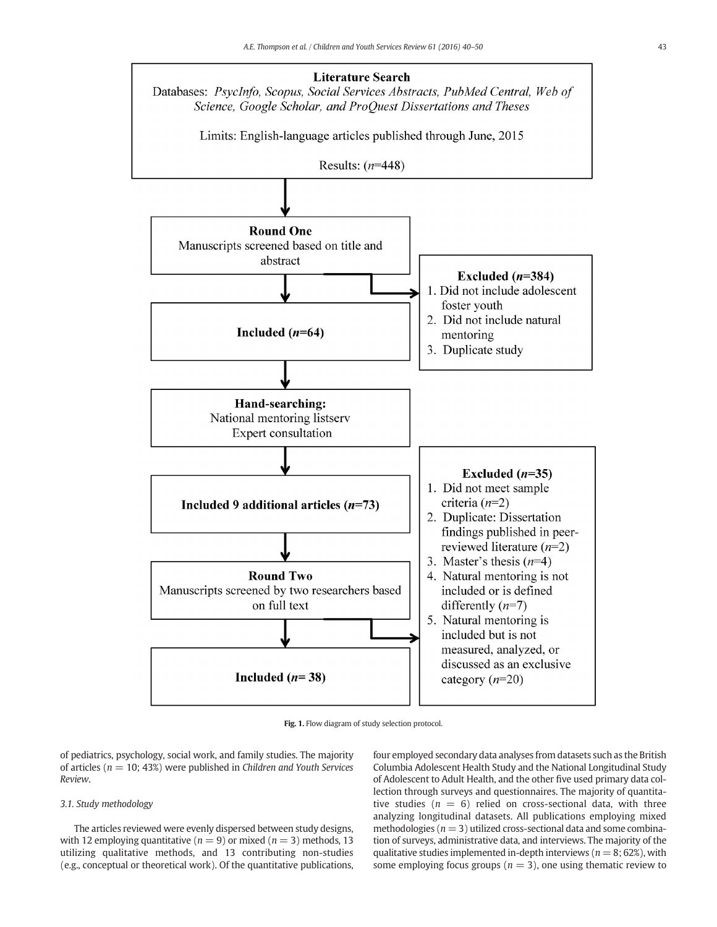

Fig. 1. Flow diagram of study selection protocol.

of pediatrics, psychology, social work, and family studies. The majority of articles ( $n = 10$ ; 43%) were published in Children and Youth Services Review.

#### 3.1. Study methodology

The articles reviewed were evenly dispersed between study designs, with 12 employing quantitative ( $n = 9$ ) or mixed ( $n = 3$ ) methods, 13 utilizing qualitative methods, and 13 contributing non-studies (e.g., conceptual or theoretical work). Of the quantitative publications, four employed secondary data analyses from datasets such as the British Columbia Adolescent Health Study and the National Longitudinal Study of Adolescent to Adult Health, and the other five used primary data collection through surveys and questionnaires. The majority of quantitative studies ( $n = 6$ ) relied on cross-sectional data, with three analyzing longitudinal datasets. All publications employing mixed methodologies ( $n = 3$ ) utilized cross-sectional data and some combination of surveys, administrative data, and interviews. The majority of the qualitative studies implemented in-depth interviews ( $n = 8$ ; 62%), with some employing focus groups ( $n = 3$ ), one using thematic review to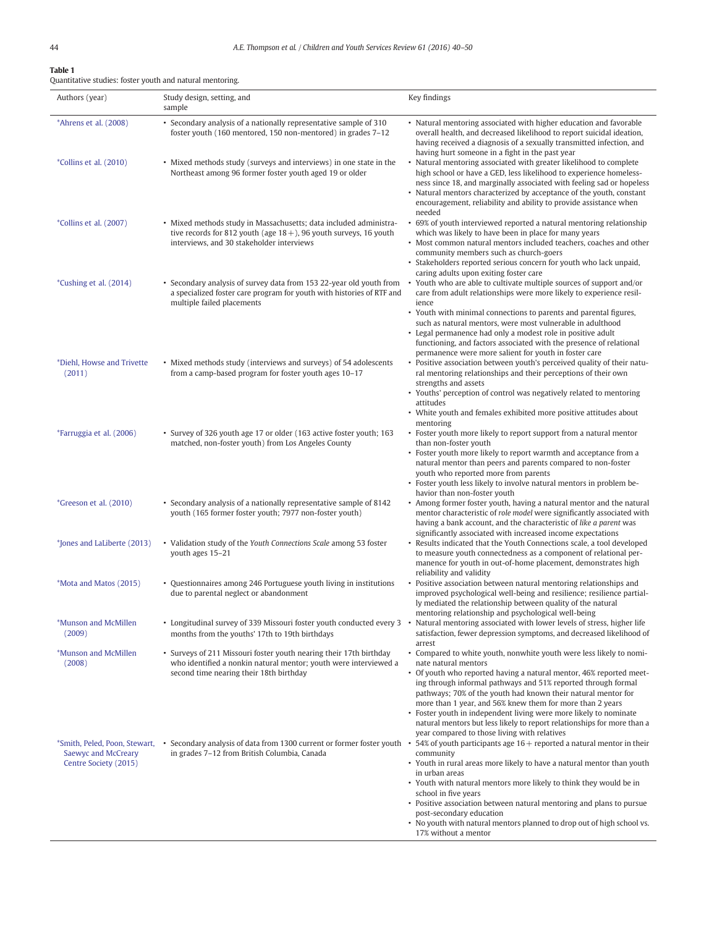#### Table 1

Quantitative studies: foster youth and natural mentoring.

| Authors (year)                                                                | Study design, setting, and<br>sample                                                                                                                                                   | Key findings                                                                                                                                                                                                                                                                                                                                                                                                                                                                                                                                                      |
|-------------------------------------------------------------------------------|----------------------------------------------------------------------------------------------------------------------------------------------------------------------------------------|-------------------------------------------------------------------------------------------------------------------------------------------------------------------------------------------------------------------------------------------------------------------------------------------------------------------------------------------------------------------------------------------------------------------------------------------------------------------------------------------------------------------------------------------------------------------|
| *Ahrens et al. (2008)                                                         | • Secondary analysis of a nationally representative sample of 310<br>foster youth (160 mentored, 150 non-mentored) in grades 7-12                                                      | • Natural mentoring associated with higher education and favorable<br>overall health, and decreased likelihood to report suicidal ideation,<br>having received a diagnosis of a sexually transmitted infection, and                                                                                                                                                                                                                                                                                                                                               |
| *Collins et al. (2010)                                                        | • Mixed methods study (surveys and interviews) in one state in the<br>Northeast among 96 former foster youth aged 19 or older                                                          | having hurt someone in a fight in the past year<br>• Natural mentoring associated with greater likelihood to complete<br>high school or have a GED, less likelihood to experience homeless-<br>ness since 18, and marginally associated with feeling sad or hopeless<br>• Natural mentors characterized by acceptance of the youth, constant<br>encouragement, reliability and ability to provide assistance when<br>needed                                                                                                                                       |
| *Collins et al. (2007)                                                        | • Mixed methods study in Massachusetts; data included administra-<br>tive records for 812 youth (age $18 +$ ), 96 youth surveys, 16 youth<br>interviews, and 30 stakeholder interviews | • 69% of youth interviewed reported a natural mentoring relationship<br>which was likely to have been in place for many years<br>• Most common natural mentors included teachers, coaches and other<br>community members such as church-goers<br>• Stakeholders reported serious concern for youth who lack unpaid,<br>caring adults upon exiting foster care                                                                                                                                                                                                     |
| *Cushing et al. (2014)                                                        | • Secondary analysis of survey data from 153 22-year old youth from<br>a specialized foster care program for youth with histories of RTF and<br>multiple failed placements             | • Youth who are able to cultivate multiple sources of support and/or<br>care from adult relationships were more likely to experience resil-<br>ience<br>• Youth with minimal connections to parents and parental figures,<br>such as natural mentors, were most vulnerable in adulthood<br>• Legal permanence had only a modest role in positive adult<br>functioning, and factors associated with the presence of relational                                                                                                                                     |
| *Diehl. Howse and Trivette<br>(2011)                                          | • Mixed methods study (interviews and surveys) of 54 adolescents<br>from a camp-based program for foster youth ages 10-17                                                              | permanence were more salient for youth in foster care<br>• Positive association between youth's perceived quality of their natu-<br>ral mentoring relationships and their perceptions of their own<br>strengths and assets<br>• Youths' perception of control was negatively related to mentoring<br>attitudes<br>• White youth and females exhibited more positive attitudes about                                                                                                                                                                               |
| *Farruggia et al. (2006)                                                      | • Survey of 326 youth age 17 or older (163 active foster youth; 163<br>matched, non-foster youth) from Los Angeles County                                                              | mentoring<br>• Foster youth more likely to report support from a natural mentor<br>than non-foster youth<br>• Foster youth more likely to report warmth and acceptance from a<br>natural mentor than peers and parents compared to non-foster<br>youth who reported more from parents<br>• Foster youth less likely to involve natural mentors in problem be-<br>havior than non-foster youth                                                                                                                                                                     |
| <i>*Greeson et al.</i> (2010)                                                 | • Secondary analysis of a nationally representative sample of 8142<br>youth (165 former foster youth; 7977 non-foster youth)                                                           | • Among former foster youth, having a natural mentor and the natural<br>mentor characteristic of role model were significantly associated with<br>having a bank account, and the characteristic of like a parent was<br>significantly associated with increased income expectations                                                                                                                                                                                                                                                                               |
| *Jones and LaLiberte (2013)                                                   | • Validation study of the Youth Connections Scale among 53 foster<br>youth ages 15-21                                                                                                  | • Results indicated that the Youth Connections scale, a tool developed<br>to measure youth connectedness as a component of relational per-<br>manence for youth in out-of-home placement, demonstrates high<br>reliability and validity                                                                                                                                                                                                                                                                                                                           |
| *Mota and Matos (2015)                                                        | • Questionnaires among 246 Portuguese youth living in institutions<br>due to parental neglect or abandonment                                                                           | • Positive association between natural mentoring relationships and<br>improved psychological well-being and resilience; resilience partial-<br>ly mediated the relationship between quality of the natural<br>mentoring relationship and psychological well-being                                                                                                                                                                                                                                                                                                 |
| *Munson and McMillen<br>(2009)                                                | • Longitudinal survey of 339 Missouri foster youth conducted every 3<br>months from the youths' 17th to 19th birthdays                                                                 | • Natural mentoring associated with lower levels of stress, higher life<br>satisfaction, fewer depression symptoms, and decreased likelihood of<br>arrest                                                                                                                                                                                                                                                                                                                                                                                                         |
| *Munson and McMillen<br>(2008)                                                | • Surveys of 211 Missouri foster youth nearing their 17th birthday<br>who identified a nonkin natural mentor; youth were interviewed a<br>second time nearing their 18th birthday      | • Compared to white youth, nonwhite youth were less likely to nomi-<br>nate natural mentors<br>• Of youth who reported having a natural mentor, 46% reported meet-<br>ing through informal pathways and 51% reported through formal<br>pathways; 70% of the youth had known their natural mentor for<br>more than 1 year, and 56% knew them for more than 2 years<br>• Foster youth in independent living were more likely to nominate<br>natural mentors but less likely to report relationships for more than a<br>year compared to those living with relatives |
| *Smith, Peled, Poon, Stewart,<br>Saewyc and McCreary<br>Centre Society (2015) | • Secondary analysis of data from 1300 current or former foster youth<br>in grades 7-12 from British Columbia, Canada                                                                  | 54% of youth participants age $16 +$ reported a natural mentor in their<br>community<br>• Youth in rural areas more likely to have a natural mentor than youth<br>in urban areas<br>• Youth with natural mentors more likely to think they would be in<br>school in five years<br>• Positive association between natural mentoring and plans to pursue<br>post-secondary education<br>• No youth with natural mentors planned to drop out of high school vs.<br>17% without a mentor                                                                              |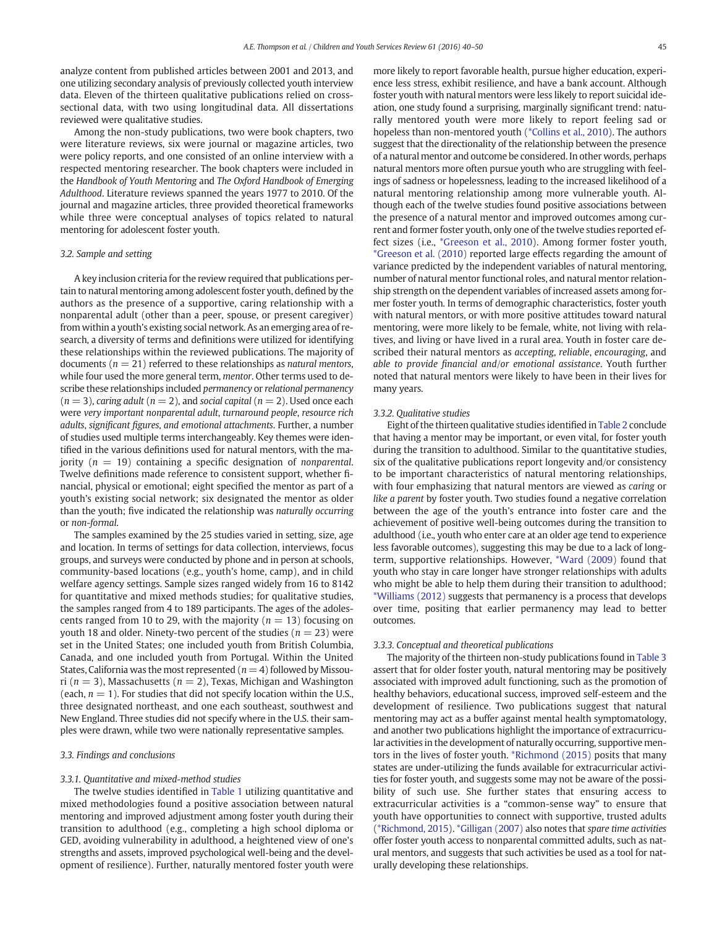analyze content from published articles between 2001 and 2013, and one utilizing secondary analysis of previously collected youth interview data. Eleven of the thirteen qualitative publications relied on crosssectional data, with two using longitudinal data. All dissertations reviewed were qualitative studies.

Among the non-study publications, two were book chapters, two were literature reviews, six were journal or magazine articles, two were policy reports, and one consisted of an online interview with a respected mentoring researcher. The book chapters were included in the Handbook of Youth Mentoring and The Oxford Handbook of Emerging Adulthood. Literature reviews spanned the years 1977 to 2010. Of the journal and magazine articles, three provided theoretical frameworks while three were conceptual analyses of topics related to natural mentoring for adolescent foster youth.

#### 3.2. Sample and setting

A key inclusion criteria for the review required that publications pertain to natural mentoring among adolescent foster youth, defined by the authors as the presence of a supportive, caring relationship with a nonparental adult (other than a peer, spouse, or present caregiver) from within a youth's existing social network. As an emerging area of research, a diversity of terms and definitions were utilized for identifying these relationships within the reviewed publications. The majority of documents ( $n = 21$ ) referred to these relationships as natural mentors, while four used the more general term, *mentor*. Other terms used to describe these relationships included permanency or relational permanency  $(n = 3)$ , caring adult  $(n = 2)$ , and social capital  $(n = 2)$ . Used once each were very important nonparental adult, turnaround people, resource rich adults, significant figures, and emotional attachments. Further, a number of studies used multiple terms interchangeably. Key themes were identified in the various definitions used for natural mentors, with the majority ( $n = 19$ ) containing a specific designation of nonparental. Twelve definitions made reference to consistent support, whether financial, physical or emotional; eight specified the mentor as part of a youth's existing social network; six designated the mentor as older than the youth; five indicated the relationship was naturally occurring or non-formal.

The samples examined by the 25 studies varied in setting, size, age and location. In terms of settings for data collection, interviews, focus groups, and surveys were conducted by phone and in person at schools, community-based locations (e.g., youth's home, camp), and in child welfare agency settings. Sample sizes ranged widely from 16 to 8142 for quantitative and mixed methods studies; for qualitative studies, the samples ranged from 4 to 189 participants. The ages of the adolescents ranged from 10 to 29, with the majority ( $n = 13$ ) focusing on youth 18 and older. Ninety-two percent of the studies ( $n = 23$ ) were set in the United States; one included youth from British Columbia, Canada, and one included youth from Portugal. Within the United States, California was the most represented ( $n = 4$ ) followed by Missouri ( $n = 3$ ), Massachusetts ( $n = 2$ ), Texas, Michigan and Washington (each,  $n = 1$ ). For studies that did not specify location within the U.S., three designated northeast, and one each southeast, southwest and New England. Three studies did not specify where in the U.S. their samples were drawn, while two were nationally representative samples.

#### 3.3. Findings and conclusions

#### 3.3.1. Quantitative and mixed-method studies

The twelve studies identified in Table 1 utilizing quantitative and mixed methodologies found a positive association between natural mentoring and improved adjustment among foster youth during their transition to adulthood (e.g., completing a high school diploma or GED, avoiding vulnerability in adulthood, a heightened view of one's strengths and assets, improved psychological well-being and the development of resilience). Further, naturally mentored foster youth were more likely to report favorable health, pursue higher education, experience less stress, exhibit resilience, and have a bank account. Although foster youth with natural mentors were less likely to report suicidal ideation, one study found a surprising, marginally significant trend: naturally mentored youth were more likely to report feeling sad or hopeless than non-mentored youth (\*Collins et al., 2010). The authors suggest that the directionality of the relationship between the presence of a natural mentor and outcome be considered. In other words, perhaps natural mentors more often pursue youth who are struggling with feelings of sadness or hopelessness, leading to the increased likelihood of a natural mentoring relationship among more vulnerable youth. Although each of the twelve studies found positive associations between the presence of a natural mentor and improved outcomes among current and former foster youth, only one of the twelve studies reported effect sizes (i.e., \*Greeson et al., 2010). Among former foster youth, \*Greeson et al. (2010) reported large effects regarding the amount of variance predicted by the independent variables of natural mentoring, number of natural mentor functional roles, and natural mentor relationship strength on the dependent variables of increased assets among former foster youth. In terms of demographic characteristics, foster youth with natural mentors, or with more positive attitudes toward natural mentoring, were more likely to be female, white, not living with relatives, and living or have lived in a rural area. Youth in foster care described their natural mentors as accepting, reliable, encouraging, and able to provide financial and/or emotional assistance. Youth further noted that natural mentors were likely to have been in their lives for many years.

#### 3.3.2. Qualitative studies

Eight of the thirteen qualitative studies identified in Table 2 conclude that having a mentor may be important, or even vital, for foster youth during the transition to adulthood. Similar to the quantitative studies, six of the qualitative publications report longevity and/or consistency to be important characteristics of natural mentoring relationships, with four emphasizing that natural mentors are viewed as caring or like a parent by foster youth. Two studies found a negative correlation between the age of the youth's entrance into foster care and the achievement of positive well-being outcomes during the transition to adulthood (i.e., youth who enter care at an older age tend to experience less favorable outcomes), suggesting this may be due to a lack of longterm, supportive relationships. However, \*Ward (2009) found that youth who stay in care longer have stronger relationships with adults who might be able to help them during their transition to adulthood; \*Williams (2012) suggests that permanency is a process that develops over time, positing that earlier permanency may lead to better outcomes.

#### 3.3.3. Conceptual and theoretical publications

The majority of the thirteen non-study publications found in Table 3 assert that for older foster youth, natural mentoring may be positively associated with improved adult functioning, such as the promotion of healthy behaviors, educational success, improved self-esteem and the development of resilience. Two publications suggest that natural mentoring may act as a buffer against mental health symptomatology, and another two publications highlight the importance of extracurricular activities in the development of naturally occurring, supportive mentors in the lives of foster youth. \*Richmond (2015) posits that many states are under-utilizing the funds available for extracurricular activities for foster youth, and suggests some may not be aware of the possibility of such use. She further states that ensuring access to extracurricular activities is a "common-sense way" to ensure that youth have opportunities to connect with supportive, trusted adults (\*Richmond, 2015). \*Gilligan (2007) also notes that spare time activities offer foster youth access to nonparental committed adults, such as natural mentors, and suggests that such activities be used as a tool for naturally developing these relationships.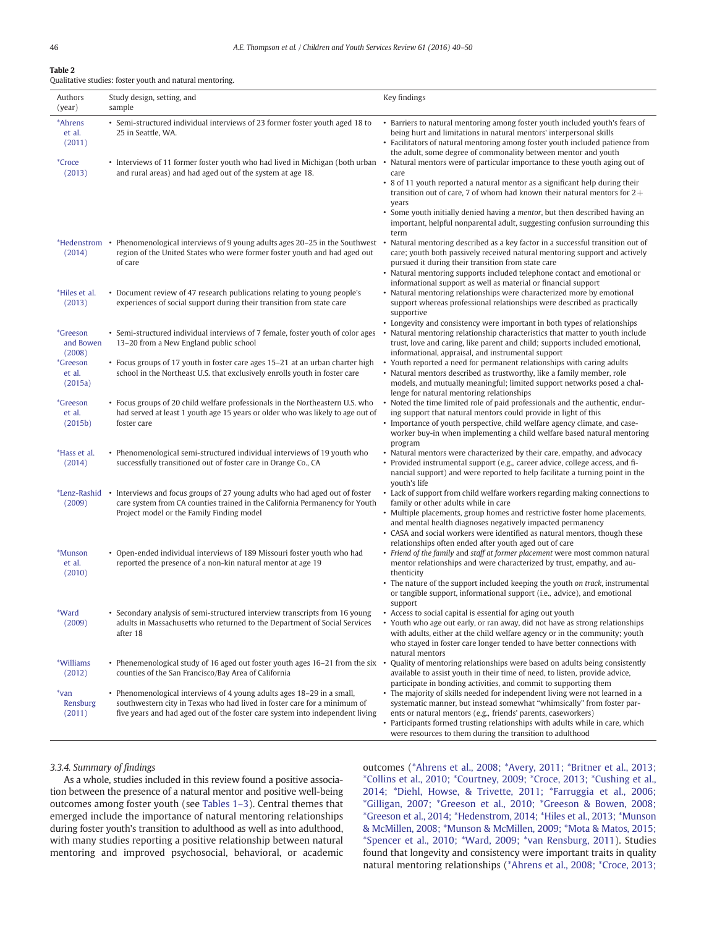### Table 2

Qualitative studies: foster youth and natural mentoring.

| Authors<br>(year)                      | Study design, setting, and<br>sample                                                                                                                                                                                                | Key findings                                                                                                                                                                                                                                                                                                                                                                                                                                                                                                          |
|----------------------------------------|-------------------------------------------------------------------------------------------------------------------------------------------------------------------------------------------------------------------------------------|-----------------------------------------------------------------------------------------------------------------------------------------------------------------------------------------------------------------------------------------------------------------------------------------------------------------------------------------------------------------------------------------------------------------------------------------------------------------------------------------------------------------------|
| *Ahrens<br>et al.<br>(2011)            | • Semi-structured individual interviews of 23 former foster youth aged 18 to<br>25 in Seattle, WA.                                                                                                                                  | • Barriers to natural mentoring among foster youth included youth's fears of<br>being hurt and limitations in natural mentors' interpersonal skills<br>• Facilitators of natural mentoring among foster youth included patience from<br>the adult, some degree of commonality between mentor and youth                                                                                                                                                                                                                |
| *Croce<br>(2013)                       | and rural areas) and had aged out of the system at age 18.                                                                                                                                                                          | • Interviews of 11 former foster youth who had lived in Michigan (both urban • Natural mentors were of particular importance to these youth aging out of<br>care<br>• 8 of 11 youth reported a natural mentor as a significant help during their<br>transition out of care, 7 of whom had known their natural mentors for $2+$<br>years<br>• Some youth initially denied having a <i>mentor</i> , but then described having an<br>important, helpful nonparental adult, suggesting confusion surrounding this<br>term |
| (2014)                                 | *Hedenstrom • Phenomenological interviews of 9 young adults ages 20–25 in the Southwest<br>region of the United States who were former foster youth and had aged out<br>of care                                                     | Natural mentoring described as a key factor in a successful transition out of<br>care; youth both passively received natural mentoring support and actively<br>pursued it during their transition from state care<br>• Natural mentoring supports included telephone contact and emotional or<br>informational support as well as material or financial support                                                                                                                                                       |
| *Hiles et al.<br>(2013)                | • Document review of 47 research publications relating to young people's<br>experiences of social support during their transition from state care                                                                                   | • Natural mentoring relationships were characterized more by emotional<br>support whereas professional relationships were described as practically<br>supportive<br>• Longevity and consistency were important in both types of relationships                                                                                                                                                                                                                                                                         |
| <i>*Greeson</i><br>and Bowen<br>(2008) | • Semi-structured individual interviews of 7 female, foster youth of color ages<br>13-20 from a New England public school                                                                                                           | • Natural mentoring relationship characteristics that matter to youth include<br>trust, love and caring, like parent and child; supports included emotional,<br>informational, appraisal, and instrumental support                                                                                                                                                                                                                                                                                                    |
| *Greeson<br>et al.<br>(2015a)          | • Focus groups of 17 youth in foster care ages 15–21 at an urban charter high<br>school in the Northeast U.S. that exclusively enrolls youth in foster care                                                                         | • Youth reported a need for permanent relationships with caring adults<br>• Natural mentors described as trustworthy, like a family member, role<br>models, and mutually meaningful; limited support networks posed a chal-<br>lenge for natural mentoring relationships                                                                                                                                                                                                                                              |
| *Greeson<br>et al.<br>(2015b)          | • Focus groups of 20 child welfare professionals in the Northeastern U.S. who<br>had served at least 1 youth age 15 years or older who was likely to age out of<br>foster care                                                      | • Noted the time limited role of paid professionals and the authentic, endur-<br>ing support that natural mentors could provide in light of this<br>• Importance of youth perspective, child welfare agency climate, and case-<br>worker buy-in when implementing a child welfare based natural mentoring<br>program                                                                                                                                                                                                  |
| *Hass et al.<br>(2014)                 | • Phenomenological semi-structured individual interviews of 19 youth who<br>successfully transitioned out of foster care in Orange Co., CA                                                                                          | • Natural mentors were characterized by their care, empathy, and advocacy<br>• Provided instrumental support (e.g., career advice, college access, and fi-<br>nancial support) and were reported to help facilitate a turning point in the<br>youth's life                                                                                                                                                                                                                                                            |
| *Lenz-Rashid<br>(2009)                 | • Interviews and focus groups of 27 young adults who had aged out of foster<br>care system from CA counties trained in the California Permanency for Youth<br>Project model or the Family Finding model                             | • Lack of support from child welfare workers regarding making connections to<br>family or other adults while in care<br>• Multiple placements, group homes and restrictive foster home placements,<br>and mental health diagnoses negatively impacted permanency<br>• CASA and social workers were identified as natural mentors, though these<br>relationships often ended after youth aged out of care                                                                                                              |
| *Munson<br>et al.<br>(2010)            | • Open-ended individual interviews of 189 Missouri foster youth who had<br>reported the presence of a non-kin natural mentor at age 19                                                                                              | • Friend of the family and staff at former placement were most common natural<br>mentor relationships and were characterized by trust, empathy, and au-<br>thenticity<br>• The nature of the support included keeping the youth on track, instrumental<br>or tangible support, informational support (i.e., advice), and emotional<br>support                                                                                                                                                                         |
| Ward<br>(2009)                         | Secondary analysis of semi-structured interview transcripts from 16 young<br>adults in Massachusetts who returned to the Department of Social Services<br>after 18                                                                  | • Access to social capital is essential for aging out youth<br>• Youth who age out early, or ran away, did not have as strong relationships<br>with adults, either at the child welfare agency or in the community; youth<br>who stayed in foster care longer tended to have better connections with<br>natural mentors                                                                                                                                                                                               |
| *Williams<br>(2012)                    | • Phenemenological study of 16 aged out foster youth ages 16–21 from the six<br>counties of the San Francisco/Bay Area of California                                                                                                | Quality of mentoring relationships were based on adults being consistently<br>$\bullet$<br>available to assist youth in their time of need, to listen, provide advice,<br>participate in bonding activities, and commit to supporting them                                                                                                                                                                                                                                                                            |
| $^*$ van<br>Rensburg<br>(2011)         | • Phenomenological interviews of 4 young adults ages 18-29 in a small,<br>southwestern city in Texas who had lived in foster care for a minimum of<br>five years and had aged out of the foster care system into independent living | • The majority of skills needed for independent living were not learned in a<br>systematic manner, but instead somewhat "whimsically" from foster par-<br>ents or natural mentors (e.g., friends' parents, caseworkers)<br>• Participants formed trusting relationships with adults while in care, which<br>were resources to them during the transition to adulthood                                                                                                                                                 |

#### 3.3.4. Summary of findings

As a whole, studies included in this review found a positive association between the presence of a natural mentor and positive well-being outcomes among foster youth (see Tables 1–3). Central themes that emerged include the importance of natural mentoring relationships during foster youth's transition to adulthood as well as into adulthood, with many studies reporting a positive relationship between natural mentoring and improved psychosocial, behavioral, or academic outcomes (\*Ahrens et al., 2008; \*Avery, 2011; \*Britner et al., 2013; \*Collins et al., 2010; \*Courtney, 2009; \*Croce, 2013; \*Cushing et al., 2014; \*Diehl, Howse, & Trivette, 2011; \*Farruggia et al., 2006; \*Gilligan, 2007; \*Greeson et al., 2010; \*Greeson & Bowen, 2008; \*Greeson et al., 2014; \*Hedenstrom, 2014; \*Hiles et al., 2013; \*Munson & McMillen, 2008; \*Munson & McMillen, 2009; \*Mota & Matos, 2015; \*Spencer et al., 2010; \*Ward, 2009; \*van Rensburg, 2011). Studies found that longevity and consistency were important traits in quality natural mentoring relationships (\*Ahrens et al., 2008; \*Croce, 2013;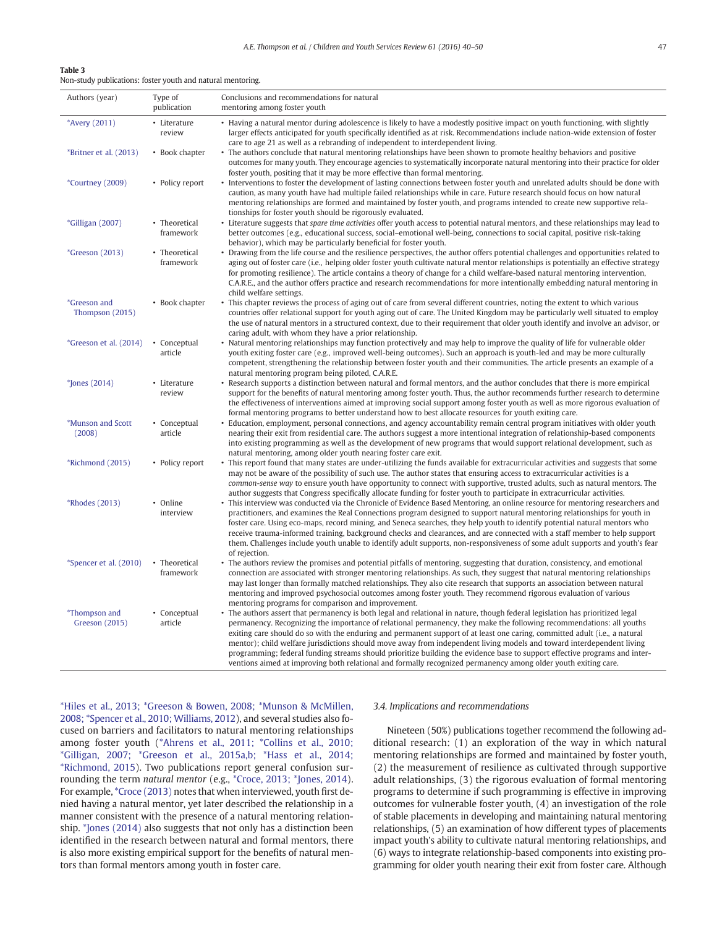#### Table 3

Non-study publications: foster youth and natural mentoring.

| Authors (year)                                | Type of<br>publication     | Conclusions and recommendations for natural<br>mentoring among foster youth                                                                                                                                                                                                                                                                                                                                                                                                                                                                                                                                                                                                                                                                                |
|-----------------------------------------------|----------------------------|------------------------------------------------------------------------------------------------------------------------------------------------------------------------------------------------------------------------------------------------------------------------------------------------------------------------------------------------------------------------------------------------------------------------------------------------------------------------------------------------------------------------------------------------------------------------------------------------------------------------------------------------------------------------------------------------------------------------------------------------------------|
| *Avery (2011)                                 | • Literature<br>review     | • Having a natural mentor during adolescence is likely to have a modestly positive impact on youth functioning, with slightly<br>larger effects anticipated for youth specifically identified as at risk. Recommendations include nation-wide extension of foster                                                                                                                                                                                                                                                                                                                                                                                                                                                                                          |
| *Britner et al. (2013)                        | • Book chapter             | care to age 21 as well as a rebranding of independent to interdependent living.<br>• The authors conclude that natural mentoring relationships have been shown to promote healthy behaviors and positive<br>outcomes for many youth. They encourage agencies to systematically incorporate natural mentoring into their practice for older<br>foster youth, positing that it may be more effective than formal mentoring.                                                                                                                                                                                                                                                                                                                                  |
| *Courtney (2009)                              | • Policy report            | • Interventions to foster the development of lasting connections between foster youth and unrelated adults should be done with<br>caution, as many youth have had multiple failed relationships while in care. Future research should focus on how natural<br>mentoring relationships are formed and maintained by foster youth, and programs intended to create new supportive rela-<br>tionships for foster youth should be rigorously evaluated.                                                                                                                                                                                                                                                                                                        |
| <i>*Gilligan</i> (2007)                       | • Theoretical<br>framework | Literature suggests that spare time activities offer youth access to potential natural mentors, and these relationships may lead to<br>better outcomes (e.g., educational success, social–emotional well-being, connections to social capital, positive risk-taking<br>behavior), which may be particularly beneficial for foster youth.                                                                                                                                                                                                                                                                                                                                                                                                                   |
| <i>*Greeson (2013)</i>                        | • Theoretical<br>framework | Drawing from the life course and the resilience perspectives, the author offers potential challenges and opportunities related to<br>aging out of foster care (i.e., helping older foster youth cultivate natural mentor relationships is potentially an effective strategy<br>for promoting resilience). The article contains a theory of change for a child welfare-based natural mentoring intervention,<br>C.A.R.E., and the author offers practice and research recommendations for more intentionally embedding natural mentoring in<br>child welfare settings.                                                                                                                                                                                      |
| <i><b>*Greeson</b></i> and<br>Thompson (2015) | • Book chapter             | This chapter reviews the process of aging out of care from several different countries, noting the extent to which various<br>countries offer relational support for youth aging out of care. The United Kingdom may be particularly well situated to employ<br>the use of natural mentors in a structured context, due to their requirement that older youth identify and involve an advisor, or<br>caring adult, with whom they have a prior relationship.                                                                                                                                                                                                                                                                                               |
| <i>*Greeson et al. (2014)</i>                 | • Conceptual<br>article    | Natural mentoring relationships may function protectively and may help to improve the quality of life for vulnerable older<br>youth exiting foster care (e.g., improved well-being outcomes). Such an approach is youth-led and may be more culturally<br>competent, strengthening the relationship between foster youth and their communities. The article presents an example of a<br>natural mentoring program being piloted, C.A.R.E.                                                                                                                                                                                                                                                                                                                  |
| $*$ Jones (2014)                              | • Literature<br>review     | Research supports a distinction between natural and formal mentors, and the author concludes that there is more empirical<br>support for the benefits of natural mentoring among foster youth. Thus, the author recommends further research to determine<br>the effectiveness of interventions aimed at improving social support among foster youth as well as more rigorous evaluation of<br>formal mentoring programs to better understand how to best allocate resources for youth exiting care.                                                                                                                                                                                                                                                        |
| *Munson and Scott<br>(2008)                   | • Conceptual<br>article    | Education, employment, personal connections, and agency accountability remain central program initiatives with older youth<br>nearing their exit from residential care. The authors suggest a more intentional integration of relationship-based components<br>into existing programming as well as the development of new programs that would support relational development, such as<br>natural mentoring, among older youth nearing foster care exit.                                                                                                                                                                                                                                                                                                   |
| *Richmond (2015)                              | • Policy report            | This report found that many states are under-utilizing the funds available for extracurricular activities and suggests that some<br>may not be aware of the possibility of such use. The author states that ensuring access to extracurricular activities is a<br>common-sense way to ensure youth have opportunity to connect with supportive, trusted adults, such as natural mentors. The<br>author suggests that Congress specifically allocate funding for foster youth to participate in extracurricular activities.                                                                                                                                                                                                                                 |
| *Rhodes (2013)                                | • Online<br>interview      | This interview was conducted via the Chronicle of Evidence Based Mentoring, an online resource for mentoring researchers and<br>practitioners, and examines the Real Connections program designed to support natural mentoring relationships for youth in<br>foster care. Using eco-maps, record mining, and Seneca searches, they help youth to identify potential natural mentors who<br>receive trauma-informed training, background checks and clearances, and are connected with a staff member to help support<br>them. Challenges include youth unable to identify adult supports, non-responsiveness of some adult supports and youth's fear<br>of rejection.                                                                                      |
| *Spencer et al. (2010)                        | • Theoretical<br>framework | The authors review the promises and potential pitfalls of mentoring, suggesting that duration, consistency, and emotional<br>connection are associated with stronger mentoring relationships. As such, they suggest that natural mentoring relationships<br>may last longer than formally matched relationships. They also cite research that supports an association between natural<br>mentoring and improved psychosocial outcomes among foster youth. They recommend rigorous evaluation of various<br>mentoring programs for comparison and improvement.                                                                                                                                                                                              |
| *Thompson and<br>Greeson (2015)               | • Conceptual<br>article    | The authors assert that permanency is both legal and relational in nature, though federal legislation has prioritized legal<br>permanency. Recognizing the importance of relational permanency, they make the following recommendations: all youths<br>exiting care should do so with the enduring and permanent support of at least one caring, committed adult (i.e., a natural<br>mentor); child welfare jurisdictions should move away from independent living models and toward interdependent living<br>programming; federal funding streams should prioritize building the evidence base to support effective programs and inter-<br>ventions aimed at improving both relational and formally recognized permanency among older youth exiting care. |

\*Hiles et al., 2013; \*Greeson & Bowen, 2008; \*Munson & McMillen, 2008; \*Spencer et al., 2010; Williams, 2012), and several studies also focused on barriers and facilitators to natural mentoring relationships among foster youth (\*Ahrens et al., 2011; \*Collins et al., 2010; \*Gilligan, 2007; \*Greeson et al., 2015a,b; \*Hass et al., 2014; \*Richmond, 2015). Two publications report general confusion surrounding the term natural mentor (e.g., \*Croce, 2013; \*Jones, 2014). For example, \*Croce (2013) notes that when interviewed, youth first denied having a natural mentor, yet later described the relationship in a manner consistent with the presence of a natural mentoring relationship. \*Jones (2014) also suggests that not only has a distinction been identified in the research between natural and formal mentors, there is also more existing empirical support for the benefits of natural mentors than formal mentors among youth in foster care.

#### 3.4. Implications and recommendations

Nineteen (50%) publications together recommend the following additional research: (1) an exploration of the way in which natural mentoring relationships are formed and maintained by foster youth, (2) the measurement of resilience as cultivated through supportive adult relationships, (3) the rigorous evaluation of formal mentoring programs to determine if such programming is effective in improving outcomes for vulnerable foster youth, (4) an investigation of the role of stable placements in developing and maintaining natural mentoring relationships, (5) an examination of how different types of placements impact youth's ability to cultivate natural mentoring relationships, and (6) ways to integrate relationship-based components into existing programming for older youth nearing their exit from foster care. Although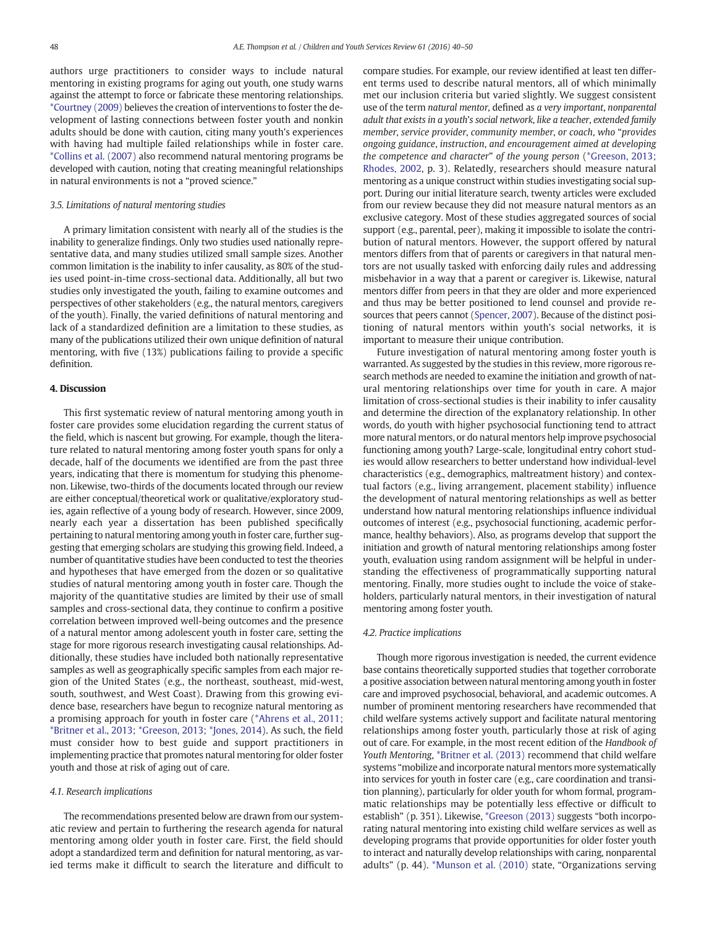authors urge practitioners to consider ways to include natural mentoring in existing programs for aging out youth, one study warns against the attempt to force or fabricate these mentoring relationships. \*Courtney (2009) believes the creation of interventions to foster the development of lasting connections between foster youth and nonkin adults should be done with caution, citing many youth's experiences with having had multiple failed relationships while in foster care. \*Collins et al. (2007) also recommend natural mentoring programs be developed with caution, noting that creating meaningful relationships in natural environments is not a "proved science."

#### 3.5. Limitations of natural mentoring studies

A primary limitation consistent with nearly all of the studies is the inability to generalize findings. Only two studies used nationally representative data, and many studies utilized small sample sizes. Another common limitation is the inability to infer causality, as 80% of the studies used point-in-time cross-sectional data. Additionally, all but two studies only investigated the youth, failing to examine outcomes and perspectives of other stakeholders (e.g., the natural mentors, caregivers of the youth). Finally, the varied definitions of natural mentoring and lack of a standardized definition are a limitation to these studies, as many of the publications utilized their own unique definition of natural mentoring, with five (13%) publications failing to provide a specific definition.

#### 4. Discussion

This first systematic review of natural mentoring among youth in foster care provides some elucidation regarding the current status of the field, which is nascent but growing. For example, though the literature related to natural mentoring among foster youth spans for only a decade, half of the documents we identified are from the past three years, indicating that there is momentum for studying this phenomenon. Likewise, two-thirds of the documents located through our review are either conceptual/theoretical work or qualitative/exploratory studies, again reflective of a young body of research. However, since 2009, nearly each year a dissertation has been published specifically pertaining to natural mentoring among youth in foster care, further suggesting that emerging scholars are studying this growing field. Indeed, a number of quantitative studies have been conducted to test the theories and hypotheses that have emerged from the dozen or so qualitative studies of natural mentoring among youth in foster care. Though the majority of the quantitative studies are limited by their use of small samples and cross-sectional data, they continue to confirm a positive correlation between improved well-being outcomes and the presence of a natural mentor among adolescent youth in foster care, setting the stage for more rigorous research investigating causal relationships. Additionally, these studies have included both nationally representative samples as well as geographically specific samples from each major region of the United States (e.g., the northeast, southeast, mid-west, south, southwest, and West Coast). Drawing from this growing evidence base, researchers have begun to recognize natural mentoring as a promising approach for youth in foster care (\*Ahrens et al., 2011; \*Britner et al., 2013; \*Greeson, 2013; \*Jones, 2014). As such, the field must consider how to best guide and support practitioners in implementing practice that promotes natural mentoring for older foster youth and those at risk of aging out of care.

#### 4.1. Research implications

The recommendations presented below are drawn from our systematic review and pertain to furthering the research agenda for natural mentoring among older youth in foster care. First, the field should adopt a standardized term and definition for natural mentoring, as varied terms make it difficult to search the literature and difficult to compare studies. For example, our review identified at least ten different terms used to describe natural mentors, all of which minimally met our inclusion criteria but varied slightly. We suggest consistent use of the term natural mentor, defined as a very important, nonparental adult that exists in a youth's social network, like a teacher, extended family member, service provider, community member, or coach, who "provides ongoing guidance, instruction, and encouragement aimed at developing the competence and character" of the young person (\*Greeson, 2013; Rhodes, 2002, p. 3). Relatedly, researchers should measure natural mentoring as a unique construct within studies investigating social support. During our initial literature search, twenty articles were excluded from our review because they did not measure natural mentors as an exclusive category. Most of these studies aggregated sources of social support (e.g., parental, peer), making it impossible to isolate the contribution of natural mentors. However, the support offered by natural mentors differs from that of parents or caregivers in that natural mentors are not usually tasked with enforcing daily rules and addressing misbehavior in a way that a parent or caregiver is. Likewise, natural mentors differ from peers in that they are older and more experienced and thus may be better positioned to lend counsel and provide resources that peers cannot (Spencer, 2007). Because of the distinct positioning of natural mentors within youth's social networks, it is important to measure their unique contribution.

Future investigation of natural mentoring among foster youth is warranted. As suggested by the studies in this review, more rigorous research methods are needed to examine the initiation and growth of natural mentoring relationships over time for youth in care. A major limitation of cross-sectional studies is their inability to infer causality and determine the direction of the explanatory relationship. In other words, do youth with higher psychosocial functioning tend to attract more natural mentors, or do natural mentors help improve psychosocial functioning among youth? Large-scale, longitudinal entry cohort studies would allow researchers to better understand how individual-level characteristics (e.g., demographics, maltreatment history) and contextual factors (e.g., living arrangement, placement stability) influence the development of natural mentoring relationships as well as better understand how natural mentoring relationships influence individual outcomes of interest (e.g., psychosocial functioning, academic performance, healthy behaviors). Also, as programs develop that support the initiation and growth of natural mentoring relationships among foster youth, evaluation using random assignment will be helpful in understanding the effectiveness of programmatically supporting natural mentoring. Finally, more studies ought to include the voice of stakeholders, particularly natural mentors, in their investigation of natural mentoring among foster youth.

#### 4.2. Practice implications

Though more rigorous investigation is needed, the current evidence base contains theoretically supported studies that together corroborate a positive association between natural mentoring among youth in foster care and improved psychosocial, behavioral, and academic outcomes. A number of prominent mentoring researchers have recommended that child welfare systems actively support and facilitate natural mentoring relationships among foster youth, particularly those at risk of aging out of care. For example, in the most recent edition of the Handbook of Youth Mentoring, \*Britner et al. (2013) recommend that child welfare systems "mobilize and incorporate natural mentors more systematically into services for youth in foster care (e.g., care coordination and transition planning), particularly for older youth for whom formal, programmatic relationships may be potentially less effective or difficult to establish" (p. 351). Likewise, \*Greeson (2013) suggests "both incorporating natural mentoring into existing child welfare services as well as developing programs that provide opportunities for older foster youth to interact and naturally develop relationships with caring, nonparental adults" (p. 44). \*Munson et al. (2010) state, "Organizations serving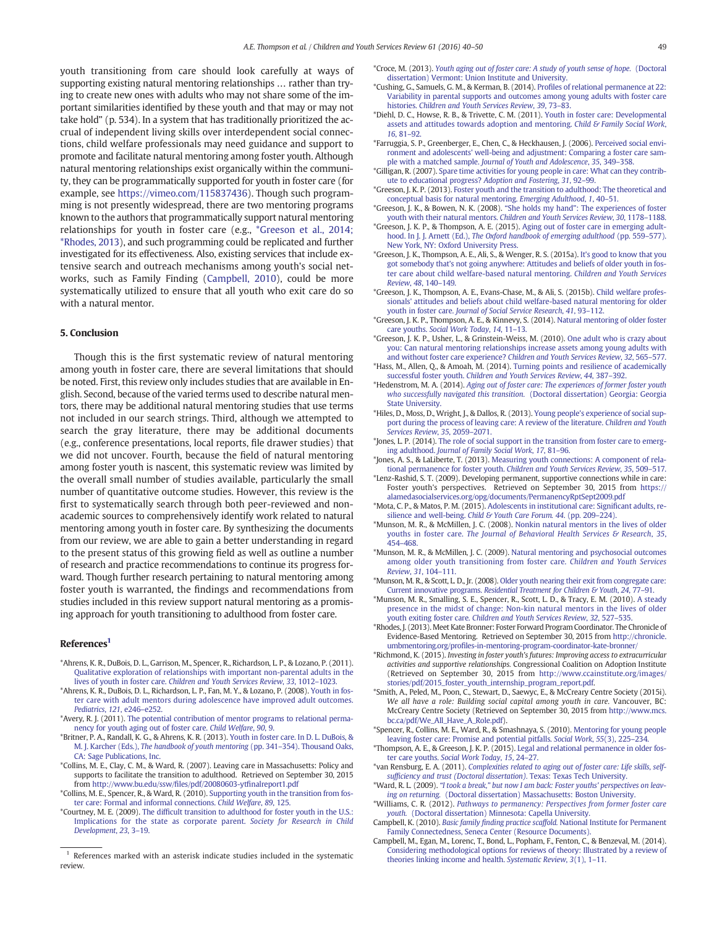youth transitioning from care should look carefully at ways of supporting existing natural mentoring relationships … rather than trying to create new ones with adults who may not share some of the important similarities identified by these youth and that may or may not take hold" (p. 534). In a system that has traditionally prioritized the accrual of independent living skills over interdependent social connections, child welfare professionals may need guidance and support to promote and facilitate natural mentoring among foster youth. Although natural mentoring relationships exist organically within the community, they can be programmatically supported for youth in foster care (for example, see https://vimeo.com/115837436). Though such programming is not presently widespread, there are two mentoring programs known to the authors that programmatically support natural mentoring relationships for youth in foster care (e.g., \*Greeson et al., 2014; \*Rhodes, 2013), and such programming could be replicated and further investigated for its effectiveness. Also, existing services that include extensive search and outreach mechanisms among youth's social networks, such as Family Finding (Campbell, 2010), could be more systematically utilized to ensure that all youth who exit care do so with a natural mentor.

#### 5. Conclusion

Though this is the first systematic review of natural mentoring among youth in foster care, there are several limitations that should be noted. First, this review only includes studies that are available in English. Second, because of the varied terms used to describe natural mentors, there may be additional natural mentoring studies that use terms not included in our search strings. Third, although we attempted to search the gray literature, there may be additional documents (e.g., conference presentations, local reports, file drawer studies) that we did not uncover. Fourth, because the field of natural mentoring among foster youth is nascent, this systematic review was limited by the overall small number of studies available, particularly the small number of quantitative outcome studies. However, this review is the first to systematically search through both peer-reviewed and nonacademic sources to comprehensively identify work related to natural mentoring among youth in foster care. By synthesizing the documents from our review, we are able to gain a better understanding in regard to the present status of this growing field as well as outline a number of research and practice recommendations to continue its progress forward. Though further research pertaining to natural mentoring among foster youth is warranted, the findings and recommendations from studies included in this review support natural mentoring as a promising approach for youth transitioning to adulthood from foster care.

#### References<sup>1</sup>

- \*Ahrens, K. R., DuBois, D. L., Garrison, M., Spencer, R., Richardson, L. P., & Lozano, P. (2011). Qualitative exploration of relationships with important non-parental adults in the lives of youth in foster care. Children and Youth Services Review, 33, 1012–1023.
- \*Ahrens, K. R., DuBois, D. L., Richardson, L. P., Fan, M. Y., & Lozano, P. (2008). Youth in foster care with adult mentors during adolescence have improved adult outcomes. Pediatrics, 121, e246–e252.
- \*Avery, R. J. (2011). The potential contribution of mentor programs to relational permanency for youth aging out of foster care. Child Welfare, 90, 9.
- \*Britner, P. A., Randall, K. G., & Ahrens, K. R. (2013). Youth in foster care. In D. L. DuBois, & M. J. Karcher (Eds.), The handbook of youth mentoring (pp. 341–354). Thousand Oaks, CA: Sage Publications, Inc.
- \*Collins, M. E., Clay, C. M., & Ward, R. (2007). Leaving care in Massachusetts: Policy and supports to facilitate the transition to adulthood. Retrieved on September 30, 2015 from http://www.bu.edu/ssw/files/pdf/20080603-ytfinalreport1.pdf
- \*Collins, M. E., Spencer, R., & Ward, R. (2010). Supporting youth in the transition from foster care: Formal and informal connections. Child Welfare, 89, 125.
- \*Courtney, M. E. (2009). The difficult transition to adulthood for foster youth in the U.S.: Implications for the state as corporate parent. Society for Research in Child Development, 23, 3–19.

\*Croce, M. (2013). Youth aging out of foster care: A study of youth sense of hope. (Doctoral dissertation) Vermont: Union Institute and University.

- \*Cushing, G., Samuels, G. M., & Kerman, B. (2014). Profiles of relational permanence at 22: Variability in parental supports and outcomes among young adults with foster care histories. Children and Youth Services Review, 39, 73–83.
- \*Diehl, D. C., Howse, R. B., & Trivette, C. M. (2011). Youth in foster care: Developmental assets and attitudes towards adoption and mentoring. Child & Family Social Work, 16, 81–92.
- \*Farruggia, S. P., Greenberger, E., Chen, C., & Heckhausen, J. (2006). Perceived social environment and adolescents' well-being and adjustment: Comparing a foster care sample with a matched sample. Journal of Youth and Adolescence, 35, 349–358.
- \*Gilligan, R. (2007). Spare time activities for young people in care: What can they contribute to educational progress? Adoption and Fostering, 31, 92–99.
- \*Greeson, J. K. P. (2013). Foster youth and the transition to adulthood: The theoretical and
- conceptual basis for natural mentoring. Emerging Adulthood, 1, 40–51. \*Greeson, J. K., & Bowen, N. K. (2008). "She holds my hand": The experiences of foster youth with their natural mentors. Children and Youth Services Review, 30, 1178–1188.
- \*Greeson, J. K. P., & Thompson, A. E. (2015). Aging out of foster care in emerging adulthood. In J. J. Arnett (Ed.), The Oxford handbook of emerging adulthood (pp. 559–577). New York, NY: Oxford University Press.
- \*Greeson, J. K., Thompson, A. E., Ali, S., & Wenger, R. S. (2015a). It's good to know that you got somebody that's not going anywhere: Attitudes and beliefs of older youth in foster care about child welfare-based natural mentoring. Children and Youth Services Review, 48, 140–149.
- \*Greeson, J. K., Thompson, A. E., Evans-Chase, M., & Ali, S. (2015b). Child welfare professionals' attitudes and beliefs about child welfare-based natural mentoring for older youth in foster care. Journal of Social Service Research, 41, 93–112.
- \*Greeson, J. K. P., Thompson, A. E., & Kinnevy, S. (2014). Natural mentoring of older foster care youths. Social Work Today, 14, 11–13.
- \*Greeson, J. K. P., Usher, L., & Grinstein-Weiss, M. (2010). One adult who is crazy about you: Can natural mentoring relationships increase assets among young adults with and without foster care experience? Children and Youth Services Review, 32, 565–577.
- \*Hass, M., Allen, Q., & Amoah, M. (2014). Turning points and resilience of academically successful foster youth. Children and Youth Services Review, 44, 387–392.
- \*Hedenstrom, M. A. (2014). Aging out of foster care: The experiences of former foster youth who successfully navigated this transition. (Doctoral dissertation) Georgia: Georgia State University.
- \*Hiles, D., Moss, D., Wright, J., & Dallos, R. (2013). Young people's experience of social support during the process of leaving care: A review of the literature. Children and Youth Services Review, 35, 2059–2071.
- \*Jones, L. P. (2014). The role of social support in the transition from foster care to emerging adulthood. Journal of Family Social Work, 17, 81–96.
- \*Jones, A. S., & LaLiberte, T. (2013). Measuring youth connections: A component of relational permanence for foster youth. Children and Youth Services Review, 35, 509–517.
- \*Lenz-Rashid, S. T. (2009). Developing permanent, supportive connections while in care: Foster youth's perspectives. Retrieved on September 30, 2015 from https:// alamedasocialservices.org/opg/documents/PermanencyRptSept2009.pdf
- \*Mota, C. P., & Matos, P. M. (2015). Adolescents in institutional care: Significant adults, resilience and well-being. Child & Youth Care Forum. 44. (pp. 209-224).
- \*Munson, M. R., & McMillen, J. C. (2008). Nonkin natural mentors in the lives of older youths in foster care. The Journal of Behavioral Health Services & Research, 35, 454–468.
- \*Munson, M. R., & McMillen, J. C. (2009). Natural mentoring and psychosocial outcomes among older youth transitioning from foster care. Children and Youth Services Review, 31, 104–111.
- \*Munson, M. R., & Scott, L. D., Jr. (2008). Older youth nearing their exit from congregate care: Current innovative programs. Residential Treatment for Children & Youth, 24, 77–91.
- \*Munson, M. R., Smalling, S. E., Spencer, R., Scott, L. D., & Tracy, E. M. (2010). A steady presence in the midst of change: Non-kin natural mentors in the lives of older youth exiting foster care. Children and Youth Services Review, 32, 527–535.
- \*Rhodes, J. (2013). Meet Kate Bronner: Foster Forward Program Coordinator. The Chronicle of Evidence-Based Mentoring. Retrieved on September 30, 2015 from http://chronicle. umbmentoring.org/profiles-in-mentoring-program-coordinator-kate-bronner/
- \*Richmond, K. (2015). Investing in foster youth's futures: Improving access to extracurricular activities and supportive relationships. Congressional Coalition on Adoption Institute (Retrieved on September 30, 2015 from http://www.ccainstitute.org/images/ stories/pdf/2015\_foster\_youth\_internship\_program\_report.pdf.
- \*Smith, A., Peled, M., Poon, C., Stewart, D., Saewyc, E., & McCreary Centre Society (2015i). We all have a role: Building social capital among youth in care. Vancouver, BC: McCreary Centre Society (Retrieved on September 30, 2015 from http://www.mcs. bc.ca/pdf/We\_All\_Have\_A\_Role.pdf).
- \*Spencer, R., Collins, M. E., Ward, R., & Smashnaya, S. (2010). Mentoring for young people leaving foster care: Promise and potential pitfalls. Social Work, 55(3), 225–234.
- \*Thompson, A. E., & Greeson, J. K. P. (2015). Legal and relational permanence in older foster care youths. Social Work Today, 15, 24–27.
- \*van Rensburg, E. A. (2011). Complexities related to aging out of foster care: Life skills, selfsufficiency and trust (Doctoral dissertation). Texas: Texas Tech University.
- \*Ward, R. L. (2009). "I took a break," but now I am back: Foster youths' perspectives on leaving on returning. (Doctoral dissertation) Massachusetts: Boston University.
- \*Williams, C. R. (2012). Pathways to permanency: Perspectives from former foster care youth. (Doctoral dissertation) Minnesota: Capella University.
- Campbell, K. (2010). Basic family finding practice scaffold. National Institute for Permanent Family Connectedness, Seneca Center (Resource Documents).
- Campbell, M., Egan, M., Lorenc, T., Bond, L., Popham, F., Fenton, C., & Benzeval, M. (2014). Considering methodological options for reviews of theory: Illustrated by a review of theories linking income and health. Systematic Review, 3(1), 1–11.

 $1$  References marked with an asterisk indicate studies included in the systematic review.